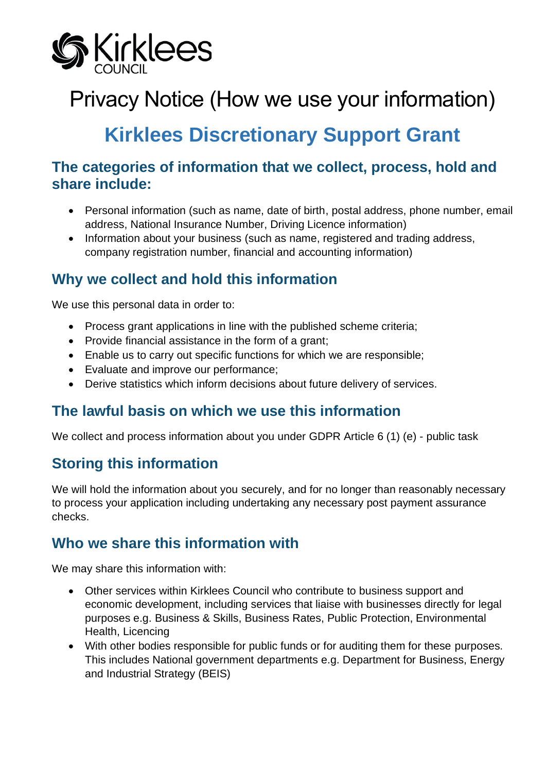

# Privacy Notice (How we use your information)

## **Kirklees Discretionary Support Grant**

#### **The categories of information that we collect, process, hold and share include:**

- Personal information (such as name, date of birth, postal address, phone number, email address, National Insurance Number, Driving Licence information)
- Information about your business (such as name, registered and trading address, company registration number, financial and accounting information)

## **Why we collect and hold this information**

We use this personal data in order to:

- Process grant applications in line with the published scheme criteria;
- Provide financial assistance in the form of a grant;
- Enable us to carry out specific functions for which we are responsible;
- Evaluate and improve our performance;
- Derive statistics which inform decisions about future delivery of services.

#### **The lawful basis on which we use this information**

We collect and process information about you under GDPR Article 6 (1) (e) - public task

## **Storing this information**

We will hold the information about you securely, and for no longer than reasonably necessary to process your application including undertaking any necessary post payment assurance checks.

## **Who we share this information with**

We may share this information with:

- Other services within Kirklees Council who contribute to business support and economic development, including services that liaise with businesses directly for legal purposes e.g. Business & Skills, Business Rates, Public Protection, Environmental Health, Licencing
- With other bodies responsible for public funds or for auditing them for these purposes. This includes National government departments e.g. Department for Business, Energy and Industrial Strategy (BEIS)